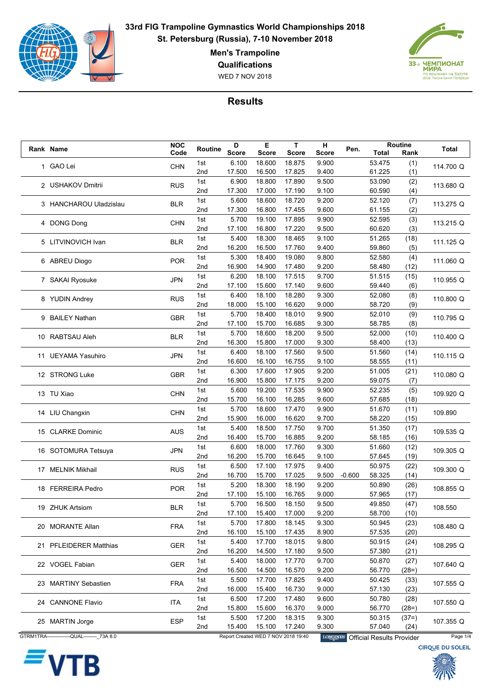

**Men's Trampoline**

**Qualifications**

WED 7 NOV 2018



|  | Rank Name                                    | <b>NOC</b> | Routine         | D            | Е                | T                                   | н               | Pen.     | Routine                          |                 | <b>Total</b>            |
|--|----------------------------------------------|------------|-----------------|--------------|------------------|-------------------------------------|-----------------|----------|----------------------------------|-----------------|-------------------------|
|  |                                              | Code       |                 | <b>Score</b> | <b>Score</b>     | <b>Score</b>                        | Score           |          | Total                            | Rank            |                         |
|  | 1 GAO Lei                                    | <b>CHN</b> | 1st             | 6.100        | 18.600           | 18.875                              | 9.900           |          | 53.475                           | (1)             | 114.700 Q               |
|  |                                              |            | 2 <sub>nd</sub> | 17.500       | 16.500           | 17.825                              | 9.400           |          | 61.225                           | (1)             |                         |
|  | 2 USHAKOV Dmitrii                            | <b>RUS</b> | 1st             | 6.900        | 18.800           | 17.890                              | 9.500           |          | 53.090                           | (2)             | 113.680 Q               |
|  |                                              |            | 2nd             | 17.300       | 17.000           | 17.190                              | 9.100           |          | 60.590                           | (4)             |                         |
|  | 3 HANCHAROU Uladzislau                       | <b>BLR</b> | 1st             | 5.600        | 18.600           | 18.720                              | 9.200           |          | 52.120                           | (7)             | 113.275 Q               |
|  |                                              |            | 2nd             | 17.300       | 16.800           | 17.455                              | 9.600           |          | 61.155                           | (2)             |                         |
|  | 4 DONG Dong                                  | <b>CHN</b> | 1st             | 5.700        | 19.100           | 17.895                              | 9.900           |          | 52.595                           | (3)             | 113.215 Q               |
|  |                                              |            | 2 <sub>nd</sub> | 17.100       | 16.800           | 17.220                              | 9.500           |          | 60.620                           | (3)             |                         |
|  | 5 LITVINOVICH Ivan                           | <b>BLR</b> | 1st             | 5.400        | 18.300           | 18.465                              | 9.100           |          | 51.265                           | (18)            | 111.125 Q               |
|  |                                              |            | 2nd             | 16.200       | 16.500           | 17.760                              | 9.400           |          | 59.860                           | (5)             |                         |
|  | 6 ABREU Diogo                                | <b>POR</b> | 1st             | 5.300        | 18.400           | 19.080                              | 9.800           |          | 52.580                           | (4)             | 111.060 Q               |
|  |                                              |            | 2nd             | 16.900       | 14.900           | 17.480                              | 9.200           |          | 58.480                           | (12)            |                         |
|  | 7 SAKAI Ryosuke                              | <b>JPN</b> | 1st             | 6.200        | 18.100           | 17.515                              | 9.700           |          | 51.515                           | (15)            | 110.955 Q               |
|  |                                              |            | 2nd             | 17.100       | 15.600           | 17.140                              | 9.600           |          | 59.440                           | (6)             |                         |
|  | 8 YUDIN Andrey                               | <b>RUS</b> | 1st             | 6.400        | 18.100           | 18.280                              | 9.300           |          | 52.080                           | (8)             | 110.800 Q               |
|  |                                              |            | 2nd             | 18.000       | 15.100           | 16.620                              | 9.000           |          | 58.720                           | (9)             |                         |
|  | 9 BAILEY Nathan                              | <b>GBR</b> | 1st             | 5.700        | 18.400           | 18.010                              | 9.900           |          | 52.010                           | (9)             | 110.795 Q               |
|  |                                              |            | 2nd             | 17.100       | 15.700           | 16.685                              | 9.300           |          | 58.785                           | (8)             |                         |
|  | 10 RABTSAU Aleh                              | <b>BLR</b> | 1st             | 5.700        | 18.600           | 18.200                              | 9.500           |          | 52.000                           | (10)            | 110.400 Q               |
|  |                                              |            | 2 <sub>nd</sub> | 16.300       | 15.800           | 17.000                              | 9.300           |          | 58.400                           | (13)            |                         |
|  |                                              | <b>JPN</b> | 1st             | 6.400        | 18.100           | 17.560                              | 9.500           |          | 51.560                           | (14)            |                         |
|  | 11 UEYAMA Yasuhiro                           |            | 2nd             | 16.600       | 16.100           | 16.755                              | 9.100           |          | 58.555                           | (11)            | 110.115 Q               |
|  | 12 STRONG Luke                               |            | 1st             | 6.300        | 17.600           | 17.905                              | 9.200           |          | 51.005                           | (21)            |                         |
|  |                                              | <b>GBR</b> | 2nd             | 16.900       | 15.800           | 17.175                              | 9.200           |          | 59.075                           | (7)             | 110.080 Q               |
|  |                                              | <b>CHN</b> | 1st             | 5.600        | 19.200           | 17.535                              | 9.900           |          | 52.235                           | (5)             |                         |
|  | 13 TU Xiao                                   |            | 2 <sub>nd</sub> | 15.700       | 16.100           | 16.285                              | 9.600           |          | 57.685                           | (18)            | 109.920 Q               |
|  |                                              | <b>CHN</b> | 1st             | 5.700        | 18.600           | 17.470                              | 9.900           |          | 51.670                           | (11)            |                         |
|  | 14 LIU Changxin                              |            | 2nd             | 15.900       | 16.000           | 16.620                              | 9.700           |          | 58.220                           | (15)            | 109.890                 |
|  |                                              |            | 1st             | 5.400        | 18.500           | 17.750                              | 9.700           |          | 51.350                           | (17)            |                         |
|  | 15 CLARKE Dominic                            | <b>AUS</b> | 2nd             | 16.400       | 15.700           | 16.885                              | 9.200           |          | 58.185                           | (16)            | 109.535 Q               |
|  |                                              |            | 1st             | 6.600        | 18.000           | 17.760                              | 9.300           |          | 51.660                           | (12)            |                         |
|  | 16 SOTOMURA Tetsuya                          | <b>JPN</b> | 2 <sub>nd</sub> | 16.200       | 15.700           | 16.645                              | 9.100           |          | 57.645                           | (19)            | 109.305 Q               |
|  |                                              |            | 1st             | 6.500        | 17.100           | 17.975                              | 9.400           |          | 50.975                           | (22)            |                         |
|  | 17 MELNIK Mikhail                            | <b>RUS</b> | 2nd             | 16.700       | 15.700           | 17.025                              | 9.500           | $-0.600$ | 58.325                           | (14)            | 109.300 Q               |
|  |                                              |            | 1st             | 5.200        | 18.300           | 18.190                              | 9.200           |          | 50.890                           | (26)            |                         |
|  | 18 FERREIRA Pedro                            | <b>POR</b> | 2nd             | 17.100       | 15.100           | 16.765                              | 9.000           |          | 57.965                           | (17)            | 108.855 Q               |
|  |                                              |            | 1st             | 5.700        | 16.500           | 18.150                              | 9.500           |          | 49.850                           | (47)            |                         |
|  | 19 ZHUK Artsiom                              | <b>BLR</b> | 2nd             | 17.100       | 15.400           | 17.000                              | 9.200           |          | 58.700                           | (10)            | 108.550                 |
|  |                                              |            | 1st             | 5.700        | 17.800           | 18.145                              | 9.300           |          | 50.945                           | (23)            |                         |
|  | 20 MORANTE Allan                             | <b>FRA</b> | 2nd             | 16.100       | 15.100           | 17.435                              | 8.900           |          | 57.535                           | (20)            | 108.480 Q               |
|  |                                              |            | 1st             | 5.400        | 17.700           | 18.015                              | 9.800           |          | 50.915                           | (24)            |                         |
|  | 21 PFLEIDERER Matthias                       | <b>GER</b> | 2nd             | 16.200       | 14.500           | 17.180                              | 9.500           |          | 57.380                           | (21)            | 108.295 Q               |
|  |                                              |            | 1st             | 5.400        | 18.000           | 17.770                              | 9.700           |          | 50.870                           | (27)            |                         |
|  | 22 VOGEL Fabian                              | <b>GER</b> | 2nd             | 16.500       | 14.500           | 16.570                              | 9.200           |          | 56.770                           | $(28=)$         | 107.640 Q               |
|  |                                              |            | 1st             | 5.500        | 17.700           | 17.825                              | 9.400           |          | 50.425                           | (33)            |                         |
|  | 23 MARTINY Sebastien                         | FRA        | 2nd             | 16.000       | 15.400           | 16.730                              | 9.000           |          | 57.130                           | (23)            | 107.555 Q               |
|  |                                              |            |                 | 6.500        | 17.200           | 17.480                              | 9.600           |          | 50.780                           |                 |                         |
|  | 24 CANNONE Flavio                            | <b>ITA</b> | 1st<br>2nd      | 15.800       | 15.600           | 16.370                              | 9.000           |          | 56.770                           | (28)<br>$(28=)$ | 107.550 Q               |
|  |                                              |            | 1st             | 5.500        |                  | 18.315                              |                 |          | 50.315                           |                 |                         |
|  | 25 MARTIN Jorge                              | <b>ESP</b> | 2nd             | 15.400       | 17.200<br>15.100 | 17.240                              | 9.300<br>9.300  |          | 57.040                           | $(37=)$<br>(24) | 107.355 Q               |
|  | GTRM1TRA----------------QUAL-------- 73A 8.0 |            |                 |              |                  | Report Created WED 7 NOV 2018 19:40 |                 |          |                                  |                 | Page 1/4                |
|  |                                              |            |                 |              |                  |                                     | <b>LONGINES</b> |          | <b>Official Results Provider</b> |                 |                         |
|  |                                              |            |                 |              |                  |                                     |                 |          |                                  |                 | <b>CIRQUE DU SOLEIL</b> |



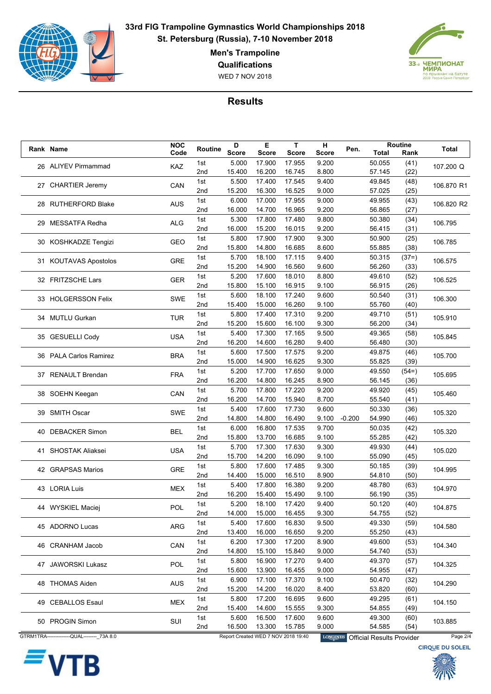

**Men's Trampoline**

**Qualifications**

WED 7 NOV 2018



|  | Rank Name                                   | <b>NOC</b> | Routine         | D            | Е                | T.                                  | н               | Pen.     | Routine                          |              | <b>Total</b>            |
|--|---------------------------------------------|------------|-----------------|--------------|------------------|-------------------------------------|-----------------|----------|----------------------------------|--------------|-------------------------|
|  |                                             | Code       |                 | <b>Score</b> | <b>Score</b>     | <b>Score</b>                        | <b>Score</b>    |          | Total                            | Rank         |                         |
|  | 26 ALIYEV Pirmammad                         | KAZ        | 1st             | 5.000        | 17.900           | 17.955                              | 9.200           |          | 50.055                           | (41)         | 107.200 Q               |
|  |                                             |            | 2 <sub>nd</sub> | 15.400       | 16.200           | 16.745                              | 8.800           |          | 57.145                           | (22)         |                         |
|  | 27 CHARTIER Jeremy                          | CAN        | 1st             | 5.500        | 17.400           | 17.545                              | 9.400           |          | 49.845                           | (48)         | 106.870 R1              |
|  |                                             |            | 2 <sub>nd</sub> | 15.200       | 16.300           | 16.525                              | 9.000           |          | 57.025                           | (25)         |                         |
|  | 28 RUTHERFORD Blake                         | <b>AUS</b> | 1st             | 6.000        | 17.000           | 17.955                              | 9.000           |          | 49.955                           | (43)         | 106.820 R2              |
|  |                                             |            | 2nd             | 16.000       | 14.700           | 16.965                              | 9.200           |          | 56.865                           | (27)         |                         |
|  | 29 MESSATFA Redha                           | <b>ALG</b> | 1st             | 5.300        | 17.800           | 17.480                              | 9.800           |          | 50.380                           | (34)         | 106.795                 |
|  |                                             |            | 2 <sub>nd</sub> | 16.000       | 15.200           | 16.015                              | 9.200           |          | 56.415                           | (31)         |                         |
|  | 30 KOSHKADZE Tengizi                        | GEO        | 1st             | 5.800        | 17.900           | 17.900                              | 9.300           |          | 50.900                           | (25)         | 106.785                 |
|  |                                             |            | 2nd             | 15.800       | 14.800           | 16.685                              | 8.600           |          | 55.885                           | (38)         |                         |
|  | 31 KOUTAVAS Apostolos                       | <b>GRE</b> | 1st             | 5.700        | 18.100           | 17.115                              | 9.400           |          | 50.315                           | $(37=)$      | 106.575                 |
|  |                                             |            | 2nd             | 15.200       | 14.900           | 16.560                              | 9.600           |          | 56.260                           | (33)         |                         |
|  | 32 FRITZSCHE Lars                           | GER        | 1st             | 5.200        | 17.600           | 18.010                              | 8.800           |          | 49.610                           | (52)         | 106.525                 |
|  |                                             |            | 2 <sub>nd</sub> | 15.800       | 15.100           | 16.915                              | 9.100           |          | 56.915                           | (26)         |                         |
|  | 33 HOLGERSSON Felix                         | <b>SWE</b> | 1st             | 5.600        | 18.100           | 17.240                              | 9.600           |          | 50.540                           | (31)         | 106.300                 |
|  |                                             |            | 2nd             | 15.400       | 15.000           | 16.260                              | 9.100           |          | 55.760                           | (40)         |                         |
|  | 34 MUTLU Gurkan                             | <b>TUR</b> | 1st             | 5.800        | 17.400           | 17.310                              | 9.200           |          | 49.710                           | (51)         | 105.910                 |
|  |                                             |            | 2nd             | 15.200       | 15.600           | 16.100                              | 9.300           |          | 56.200                           | (34)         |                         |
|  |                                             | <b>USA</b> | 1st             | 5.400        | 17.300           | 17.165                              | 9.500           |          | 49.365                           | (58)         | 105.845                 |
|  | 35 GESUELLI Cody                            |            | 2 <sub>nd</sub> | 16.200       | 14.600           | 16.280                              | 9.400           |          | 56.480                           | (30)         |                         |
|  |                                             |            | 1st             | 5.600        | 17.500           | 17.575                              | 9.200           |          | 49.875                           | (46)         |                         |
|  | 36 PALA Carlos Ramirez                      | <b>BRA</b> | 2nd             | 15.000       | 14.900           | 16.625                              | 9.300           |          | 55.825                           | (39)         | 105.700                 |
|  | 37 RENAULT Brendan                          | <b>FRA</b> | 1st             | 5.200        | 17.700           | 17.650                              | 9.000           |          | 49.550                           | $(54=)$      | 105.695                 |
|  |                                             |            | 2nd             | 16.200       | 14.800           | 16.245                              | 8.900           |          | 56.145                           | (36)         |                         |
|  |                                             | CAN        | 1st             | 5.700        | 17.800           | 17.220                              | 9.200           |          | 49.920                           | (45)         |                         |
|  | 38 SOEHN Keegan                             |            | 2 <sub>nd</sub> | 16.200       | 14.700           | 15.940                              | 8.700           |          | 55.540                           | (41)         | 105.460                 |
|  |                                             | <b>SWE</b> | 1st             | 5.400        | 17.600           | 17.730                              | 9.600           |          | 50.330                           | (36)         |                         |
|  | 39 SMITH Oscar                              |            | 2 <sub>nd</sub> | 14.800       | 14.800           | 16.490                              | 9.100           | $-0.200$ | 54.990                           | (46)         | 105.320                 |
|  |                                             |            | 1st             | 6.000        | 16.800           | 17.535                              | 9.700           |          | 50.035                           | (42)         |                         |
|  | 40 DEBACKER Simon                           | <b>BEL</b> | 2nd             | 15.800       | 13.700           | 16.685                              | 9.100           |          | 55.285                           | (42)         | 105.320                 |
|  |                                             |            | 1st             | 5.700        | 17.300           | 17.630                              | 9.300           |          | 49.930                           | (44)         |                         |
|  | 41 SHOSTAK Aliaksei                         | <b>USA</b> | 2 <sub>nd</sub> | 15.700       | 14.200           | 16.090                              | 9.100           |          | 55.090                           | (45)         | 105.020                 |
|  |                                             |            | 1st             | 5.800        | 17.600           | 17.485                              | 9.300           |          | 50.185                           | (39)         |                         |
|  | 42 GRAPSAS Marios                           | <b>GRE</b> | 2nd             | 14.400       | 15.000           | 16.510                              | 8.900           |          | 54.810                           | (50)         | 104.995                 |
|  |                                             |            | 1st             | 5.400        | 17.800           | 16.380                              | 9.200           |          | 48.780                           | (63)         |                         |
|  | 43 LORIA Luis                               | <b>MEX</b> | 2nd             | 16.200       | 15.400           | 15.490                              | 9.100           |          | 56.190                           | (35)         | 104.970                 |
|  |                                             |            | 1st             | 5.200        | 18.100           | 17.420                              | 9.400           |          | 50.120                           | (40)         |                         |
|  | 44 WYSKIEL Maciej                           | POL        | 2nd             | 14.000       | 15.000           | 16.455                              | 9.300           |          | 54.755                           | (52)         | 104.875                 |
|  |                                             |            | 1st             | 5.400        | 17.600           | 16.830                              | 9.500           |          | 49.330                           | (59)         |                         |
|  | 45 ADORNO Lucas                             | <b>ARG</b> | 2nd             | 13.400       | 16.000           | 16.650                              | 9.200           |          | 55.250                           | (43)         | 104.580                 |
|  |                                             |            |                 | 6.200        |                  | 17.200                              | 8.900           |          | 49.600                           |              |                         |
|  | 46 CRANHAM Jacob                            | CAN        | 1st             | 14.800       | 17.300<br>15.100 | 15.840                              | 9.000           |          | 54.740                           | (53)<br>(53) | 104.340                 |
|  |                                             |            | 2nd             |              |                  |                                     |                 |          |                                  |              |                         |
|  | 47 JAWORSKI Lukasz                          | POL        | 1st             | 5.800        | 16.900           | 17.270                              | 9.400           |          | 49.370                           | (57)         | 104.325                 |
|  |                                             |            | 2nd             | 15.600       | 13.900           | 16.455                              | 9.000           |          | 54.955                           | (47)         |                         |
|  | 48 THOMAS Aiden                             | AUS        | 1st             | 6.900        | 17.100           | 17.370                              | 9.100           |          | 50.470                           | (32)         | 104.290                 |
|  |                                             |            | 2nd             | 15.200       | 14.200           | 16.020                              | 8.400           |          | 53.820                           | (60)         |                         |
|  | 49 CEBALLOS Esaul                           | <b>MEX</b> | 1st             | 5.800        | 17.200           | 16.695                              | 9.600           |          | 49.295                           | (61)         | 104.150                 |
|  |                                             |            | 2nd             | 15.400       | 14.600           | 15.555                              | 9.300           |          | 54.855                           | (49)         |                         |
|  | 50 PROGIN Simon                             | SUI        | 1st             | 5.600        | 16.500           | 17.600                              | 9.600           |          | 49.300                           | (60)         | 103.885                 |
|  |                                             |            | 2nd             | 16.500       | 13.300           | 15.785                              | 9.000           |          | 54.585                           | (54)         |                         |
|  | GTRM1TRA---------------QUAL-------- 73A 8.0 |            |                 |              |                  | Report Created WED 7 NOV 2018 19:40 | <b>LONGINES</b> |          | <b>Official Results Provider</b> |              | Page 2/4                |
|  |                                             |            |                 |              |                  |                                     |                 |          |                                  |              | <b>CIRQUE DU SOLEIL</b> |



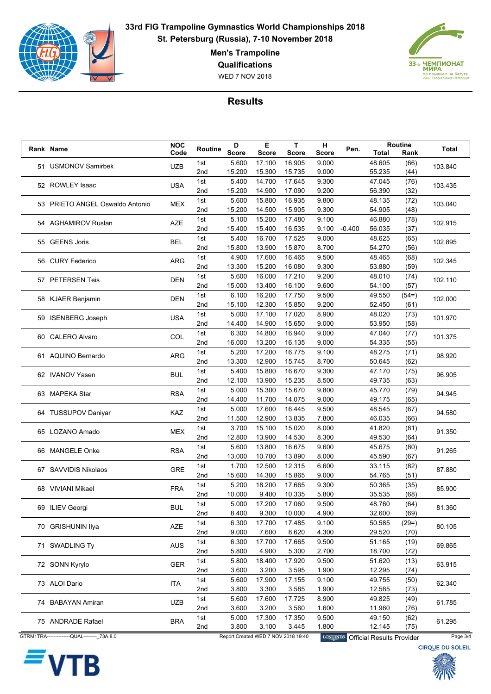

**Men's Trampoline**

**Qualifications**

WED 7 NOV 2018



|                 | Rank Name                                   | <b>NOC</b> | Routine         | D            | Е            | T.                                  | н               | Pen.     |                                  | Routine | <b>Total</b>            |
|-----------------|---------------------------------------------|------------|-----------------|--------------|--------------|-------------------------------------|-----------------|----------|----------------------------------|---------|-------------------------|
|                 |                                             | Code       |                 | <b>Score</b> | <b>Score</b> | Score                               | Score           |          | Total                            | Rank    |                         |
|                 | 51 USMONOV Samirbek                         | <b>UZB</b> | 1st             | 5.600        | 17.100       | 16.905                              | 9.000           |          | 48.605                           | (66)    | 103.840                 |
|                 |                                             |            | 2 <sub>nd</sub> | 15.200       | 15.300       | 15.735                              | 9.000           |          | 55.235                           | (44)    |                         |
|                 | 52 ROWLEY Isaac                             | <b>USA</b> | 1st             | 5.400        | 14.700       | 17.645                              | 9.300           |          | 47.045                           | (76)    | 103.435                 |
|                 |                                             |            | 2 <sub>nd</sub> | 15.200       | 14.900       | 17.090                              | 9.200           |          | 56.390                           | (32)    |                         |
|                 | 53 PRIETO ANGEL Oswaldo Antonio             | MEX        | 1st             | 5.600        | 15.800       | 16.935                              | 9.800           |          | 48.135                           | (72)    | 103.040                 |
|                 |                                             |            | 2nd             | 15.200       | 14.500       | 15.905                              | 9.300           |          | 54.905                           | (48)    |                         |
|                 |                                             |            | 1st             | 5.100        | 15.200       | 17.480                              | 9.100           |          | 46.880                           | (78)    |                         |
|                 | 54 AGHAMIROV Ruslan                         | <b>AZE</b> | 2 <sub>nd</sub> | 15.400       | 15.400       | 16.535                              | 9.100           | $-0.400$ | 56.035                           | (37)    | 102.915                 |
|                 |                                             |            | 1st             | 5.400        | 16.700       | 17.525                              | 9.000           |          | 48.625                           | (65)    |                         |
|                 | 55 GEENS Joris                              | <b>BEL</b> | 2 <sub>nd</sub> | 15.800       | 13.900       | 15.870                              | 8.700           |          | 54.270                           | (56)    | 102.895                 |
|                 |                                             |            | 1st             | 4.900        | 17.600       | 16.465                              | 9.500           |          | 48.465                           | (68)    |                         |
|                 | 56 CURY Federico                            | <b>ARG</b> | 2nd             | 13.300       | 15.200       | 16.080                              | 9.300           |          | 53.880                           | (59)    | 102.345                 |
|                 |                                             |            |                 |              |              |                                     |                 |          |                                  |         |                         |
|                 | 57 PETERSEN Teis                            | <b>DEN</b> | 1st             | 5.600        | 16.000       | 17.210                              | 9.200           |          | 48.010                           | (74)    | 102.110                 |
|                 |                                             |            | 2 <sub>nd</sub> | 15.000       | 13.400       | 16.100                              | 9.600           |          | 54.100                           | (57)    |                         |
|                 | 58 KJAER Benjamin                           | <b>DEN</b> | 1st             | 6.100        | 16.200       | 17.750                              | 9.500           |          | 49.550                           | $(54=)$ | 102.000                 |
|                 |                                             |            | 2 <sub>nd</sub> | 15.100       | 12.300       | 15.850                              | 9.200           |          | 52.450                           | (61)    |                         |
|                 | 59 ISENBERG Joseph                          | <b>USA</b> | 1st             | 5.000        | 17.100       | 17.020                              | 8.900           |          | 48.020                           | (73)    | 101.970                 |
|                 |                                             |            | 2nd             | 14.400       | 14.900       | 15.650                              | 9.000           |          | 53.950                           | (58)    |                         |
|                 |                                             |            | 1st             | 6.300        | 14.800       | 16.940                              | 9.000           |          | 47.040                           | (77)    |                         |
|                 | 60 CALERO Alvaro                            | COL        | 2 <sub>nd</sub> | 16.000       | 13.200       | 16.135                              | 9.000           |          | 54.335                           | (55)    | 101.375                 |
|                 |                                             |            | 1st             | 5.200        | 17.200       | 16.775                              | 9.100           |          | 48.275                           | (71)    |                         |
|                 | 61 AQUINO Bernardo                          | <b>ARG</b> | 2 <sub>nd</sub> | 13.300       | 12.900       | 15.745                              | 8.700           |          | 50.645                           | (62)    | 98.920                  |
|                 |                                             |            |                 | 5.400        | 15.800       | 16.670                              | 9.300           |          | 47.170                           |         |                         |
| 62 IVANOV Yasen |                                             | <b>BUL</b> | 1st             |              |              |                                     |                 |          |                                  | (75)    | 96.905                  |
|                 | 63 MAPEKA Star                              | <b>RSA</b> | 2nd             | 12.100       | 13.900       | 15.235                              | 8.500           |          | 49.735                           | (63)    |                         |
|                 |                                             |            | 1st             | 5.000        | 15.300       | 15.670                              | 9.800           |          | 45.770                           | (79)    | 94.945                  |
|                 |                                             |            | 2 <sub>nd</sub> | 14.400       | 11.700       | 14.075                              | 9.000           |          | 49.175                           | (65)    |                         |
|                 | 64 TUSSUPOV Daniyar                         | KAZ        | 1st             | 5.000        | 17.600       | 16.445                              | 9.500           |          | 48.545                           | (67)    | 94.580                  |
|                 |                                             |            | 2 <sub>nd</sub> | 11.500       | 12.900       | 13.835                              | 7.800           |          | 46.035                           | (66)    |                         |
|                 | 65 LOZANO Amado                             | <b>MEX</b> | 1st             | 3.700        | 15.100       | 15.020                              | 8.000           |          | 41.820                           | (81)    | 91.350                  |
|                 |                                             |            | 2nd             | 12.800       | 13.900       | 14.530                              | 8.300           |          | 49.530                           | (64)    |                         |
|                 | 66 MANGELE Onke                             |            | 1st             | 5.600        | 13.800       | 16.675                              | 9.600           |          | 45.675                           | (80)    | 91.265                  |
|                 |                                             | <b>RSA</b> | 2 <sub>nd</sub> | 13.000       | 10.700       | 13.890                              | 8.000           |          | 45.590                           | (67)    |                         |
|                 |                                             |            | 1st             | 1.700        | 12.500       | 12.315                              | 6.600           |          | 33.115                           | (82)    |                         |
|                 | 67 SAVVIDIS Nikolaos                        | <b>GRE</b> | 2nd             | 15.600       | 14.300       | 15.865                              | 9.000           |          | 54.765                           | (51)    | 87.880                  |
|                 |                                             |            |                 |              |              |                                     |                 |          |                                  |         |                         |
|                 | 68 VIVIANI Mikael                           | <b>FRA</b> | 1st             | 5.200        | 18.200       | 17.665                              | 9.300           |          | 50.365                           | (35)    | 85.900                  |
|                 |                                             |            | 2nd             | 10.000       | 9.400        | 10.335                              | 5.800           |          | 35.535                           | (68)    |                         |
|                 | 69 ILIEV Georgi                             | <b>BUL</b> | 1st             | 5.000        | 17.200       | 17.060                              | 9.500           |          | 48.760                           | (64)    | 81.360                  |
|                 |                                             |            | 2nd             | 8.400        | 9.300        | 10.000                              | 4.900           |          | 32.600                           | (69)    |                         |
|                 | 70 GRISHUNIN Ilya                           | AZE        | 1st             | 6.300        | 17.700       | 17.485                              | 9.100           |          | 50.585                           | $(29=)$ | 80.105                  |
|                 |                                             |            | 2nd             | 9.000        | 7.600        | 8.620                               | 4.300           |          | 29.520                           | (70)    |                         |
|                 |                                             | <b>AUS</b> | 1st             | 6.300        | 17.700       | 17.665                              | 9.500           |          | 51.165                           | (19)    |                         |
|                 | 71 SWADLING Ty                              |            | 2nd             | 5.800        | 4.900        | 5.300                               | 2.700           |          | 18.700                           | (72)    | 69.865                  |
|                 |                                             |            | 1st             | 5.800        | 18.400       | 17.920                              | 9.500           |          | 51.620                           | (13)    |                         |
|                 | 72 SONN Kyrylo                              | <b>GER</b> | 2nd             | 3.600        | 3.200        | 3.595                               | 1.900           |          | 12.295                           | (74)    | 63.915                  |
|                 |                                             |            | 1st             | 5.600        | 17.900       | 17.155                              | 9.100           |          | 49.755                           | (50)    |                         |
|                 | 73 ALOI Dario                               | ITA        | 2nd             |              |              |                                     |                 |          |                                  |         | 62.340                  |
|                 |                                             |            |                 | 3.800        | 3.300        | 3.585                               | 1.900           |          | 12.585                           | (73)    |                         |
|                 | 74 BABAYAN Amiran                           | <b>UZB</b> | 1st             | 5.600        | 17.600       | 17.725                              | 8.900           |          | 49.825                           | (49)    | 61.785                  |
|                 |                                             |            | 2nd             | 3.600        | 3.200        | 3.560                               | 1.600           |          | 11.960                           | (76)    |                         |
|                 | 75 ANDRADE Rafael                           | <b>BRA</b> | 1st             | 5.000        | 17.300       | 17.350                              | 9.500           |          | 49.150                           | (62)    | 61.295                  |
|                 |                                             |            | 2nd             | 3.800        | 3.100        | 3.445                               | 1.800           |          | 12.145                           | (75)    |                         |
|                 | GTRM1TRA---------------QUAL-------- 73A 8.0 |            |                 |              |              | Report Created WED 7 NOV 2018 19:40 | <b>LONGINES</b> |          | <b>Official Results Provider</b> |         | Page 3/4                |
|                 |                                             |            |                 |              |              |                                     |                 |          |                                  |         | <b>CIRQUE DU SOLEIL</b> |